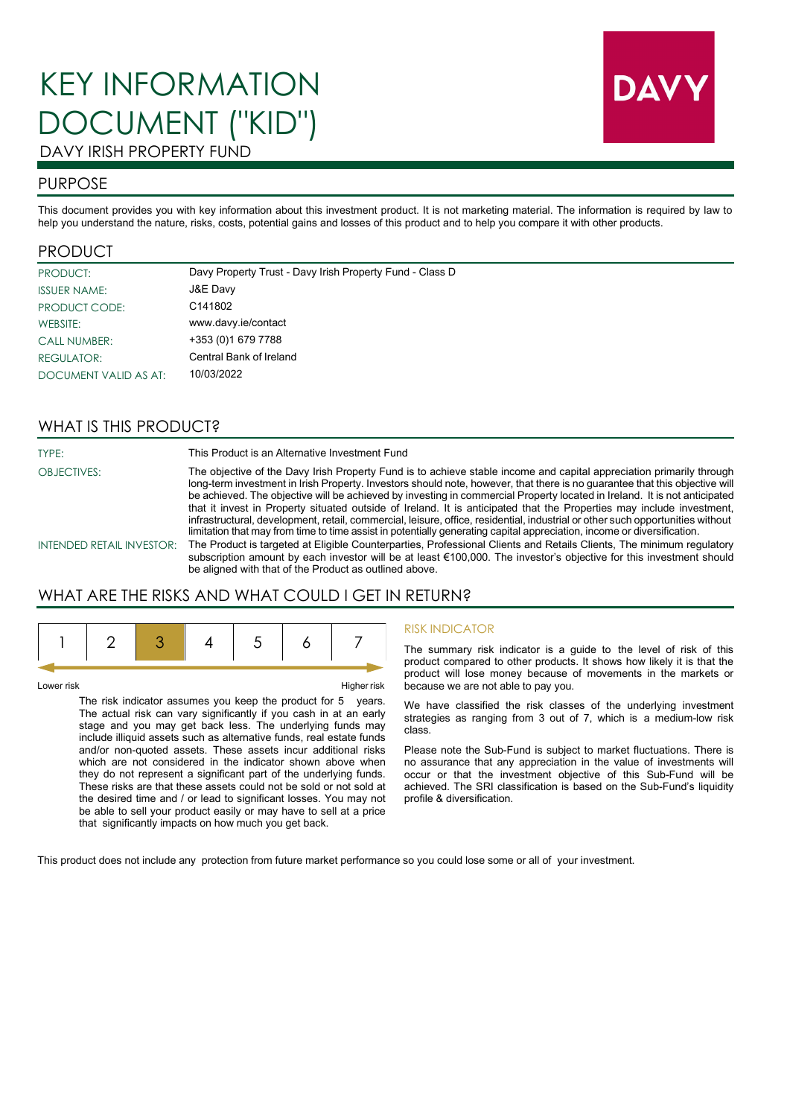# KEY INFORMATION DOCUMENT ("KID") DAVY IRISH PROPERTY FUND



# PURPOSE

This document provides you with key information about this investment product. It is not marketing material. The information is required by law to help you understand the nature, risks, costs, potential gains and losses of this product and to help you compare it with other products.

## PRODUCT

| <b>PRODUCT:</b>       | Davy Property Trust - Davy Irish Property Fund - Class D |
|-----------------------|----------------------------------------------------------|
| <b>ISSUER NAME:</b>   | J&E Davy                                                 |
| PRODUCT CODE:         | C141802                                                  |
| WEBSITE:              | www.davy.ie/contact                                      |
| <b>CALL NUMBER:</b>   | +353 (0) 1679 7788                                       |
| REGULATOR:            | Central Bank of Ireland                                  |
| DOCUMENT VALID AS AT: | 10/03/2022                                               |

# WHAT IS THIS PRODUCT?

TYPE: This Product is an Alternative Investment Fund

OBJECTIVES: The objective of the Davy Irish Property Fund is to achieve stable income and capital appreciation primarily through long-term investment in Irish Property. Investors should note, however, that there is no guarantee that this objective will be achieved. The objective will be achieved by investing in commercial Property located in Ireland. It is not anticipated that it invest in Property situated outside of Ireland. It is anticipated that the Properties may include investment, infrastructural, development, retail, commercial, leisure, office, residential, industrial or other such opportunities without limitation that may from time to time assist in potentially generating capital appreciation, income or diversification.

INTENDED RETAIL INVESTOR: The Product is targeted at Eligible Counterparties, Professional Clients and Retails Clients, The minimum regulatory subscription amount by each investor will be at least €100,000. The investor's objective for this investment should be aligned with that of the Product as outlined above.

# WHAT ARE THE RISKS AND WHAT COULD I GET IN RETURN?

Lower risk Higher risk

The risk indicator assumes you keep the product for 5 years. The actual risk can vary significantly if you cash in at an early stage and you may get back less. The underlying funds may include illiquid assets such as alternative funds, real estate funds and/or non-quoted assets. These assets incur additional risks which are not considered in the indicator shown above when they do not represent a significant part of the underlying funds. These risks are that these assets could not be sold or not sold at the desired time and / or lead to significant losses. You may not be able to sell your product easily or may have to sell at a price that significantly impacts on how much you get back.

### RISK INDICATOR

The summary risk indicator is a guide to the level of risk of this product compared to other products. It shows how likely it is that the product will lose money because of movements in the markets or because we are not able to pay you.

We have classified the risk classes of the underlying investment strategies as ranging from 3 out of 7, which is a medium-low risk class.

Please note the Sub-Fund is subject to market fluctuations. There is no assurance that any appreciation in the value of investments will occur or that the investment objective of this Sub-Fund will be achieved. The SRI classification is based on the Sub-Fund's liquidity profile & diversification.

This product does not include any protection from future market performance so you could lose some or all of your investment.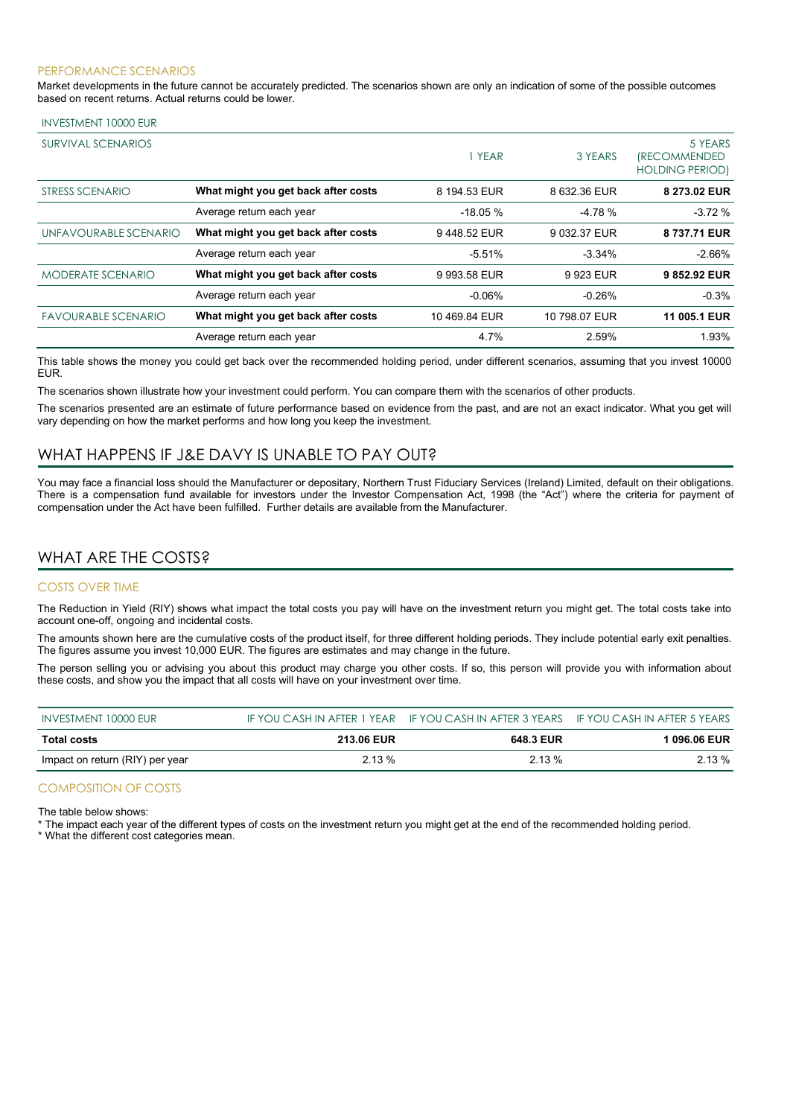#### PERFORMANCE SCENARIOS

Market developments in the future cannot be accurately predicted. The scenarios shown are only an indication of some of the possible outcomes based on recent returns. Actual returns could be lower.

| SURVIVAL SCENARIOS         |                                     | YEAR          | 3 YEARS       | 5 YEARS<br><i><b>IRECOMMENDED</b></i><br><b>HOLDING PERIOD)</b> |
|----------------------------|-------------------------------------|---------------|---------------|-----------------------------------------------------------------|
| STRESS SCENARIO            | What might you get back after costs | 8 194.53 EUR  | 8 632.36 EUR  | 8 273.02 EUR                                                    |
|                            | Average return each year            | $-18.05%$     | $-4.78%$      | $-3.72%$                                                        |
| UNFAVOURABLE SCENARIO      | What might you get back after costs | 9448.52 EUR   | 9 032.37 EUR  | 8 737.71 EUR                                                    |
|                            | Average return each year            | $-5.51%$      | $-3.34%$      | $-2.66%$                                                        |
| MODERATE SCENARIO          | What might you get back after costs | 9 993.58 EUR  | 9 923 EUR     | 9852.92 EUR                                                     |
|                            | Average return each year            | $-0.06%$      | $-0.26%$      | $-0.3%$                                                         |
| <b>FAVOURABLE SCENARIO</b> | What might you get back after costs | 10 469 84 EUR | 10 798.07 EUR | 11 005.1 EUR                                                    |
|                            | Average return each year            | 4.7%          | 2.59%         | 1.93%                                                           |

This table shows the money you could get back over the recommended holding period, under different scenarios, assuming that you invest 10000 EUR.

The scenarios shown illustrate how your investment could perform. You can compare them with the scenarios of other products.

The scenarios presented are an estimate of future performance based on evidence from the past, and are not an exact indicator. What you get will vary depending on how the market performs and how long you keep the investment.

# WHAT HAPPENS IF J&E DAVY IS UNABLE TO PAY OUT?

You may face a financial loss should the Manufacturer or depositary, Northern Trust Fiduciary Services (Ireland) Limited, default on their obligations. There is a compensation fund available for investors under the Investor Compensation Act, 1998 (the "Act") where the criteria for payment of compensation under the Act have been fulfilled. Further details are available from the Manufacturer.

## WHAT ARE THE COSTS?

#### COSTS OVER TIME

The Reduction in Yield (RIY) shows what impact the total costs you pay will have on the investment return you might get. The total costs take into account one-off, ongoing and incidental costs.

The amounts shown here are the cumulative costs of the product itself, for three different holding periods. They include potential early exit penalties. The figures assume you invest 10,000 EUR. The figures are estimates and may change in the future.

The person selling you or advising you about this product may charge you other costs. If so, this person will provide you with information about these costs, and show you the impact that all costs will have on your investment over time.

| INVESTMENT 10000 EUR            |                   | IF YOU CASH IN AFTER 1 YEAR IF YOU CASH IN AFTER 3 YEARS IF YOU CASH IN AFTER 5 YEARS |              |
|---------------------------------|-------------------|---------------------------------------------------------------------------------------|--------------|
| <b>Total costs</b>              | <b>213.06 EUR</b> | 648.3 EUR                                                                             | l 096.06 EUR |
| Impact on return (RIY) per year | $2.13\%$          | $2.13\%$                                                                              | $2.13\%$     |

#### COMPOSITION OF COSTS

The table below shows:

\* The impact each year of the different types of costs on the investment return you might get at the end of the recommended holding period.

\* What the different cost categories mean.